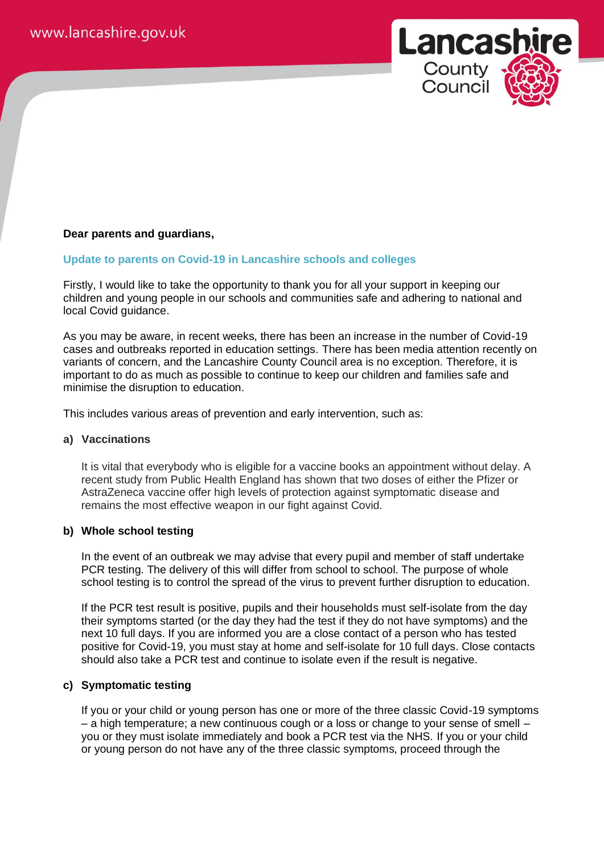

# **Dear parents and guardians,**

# **Update to parents on Covid-19 in Lancashire schools and colleges**

Firstly, I would like to take the opportunity to thank you for all your support in keeping our children and young people in our schools and communities safe and adhering to national and local Covid guidance.

As you may be aware, in recent weeks, there has been an increase in the number of Covid-19 cases and outbreaks reported in education settings. There has been media attention recently on variants of concern, and the Lancashire County Council area is no exception. Therefore, it is important to do as much as possible to continue to keep our children and families safe and minimise the disruption to education.

This includes various areas of prevention and early intervention, such as:

# **a) Vaccinations**

It is vital that everybody who is eligible for a vaccine books an appointment without delay. A recent study from Public Health England has shown that two doses of either the Pfizer or AstraZeneca vaccine offer high levels of protection against symptomatic disease and remains the most effective weapon in our fight against Covid.

### **b) Whole school testing**

In the event of an outbreak we may advise that every pupil and member of staff undertake PCR testing. The delivery of this will differ from school to school. The purpose of whole school testing is to control the spread of the virus to prevent further disruption to education.

If the PCR test result is positive, pupils and their households must self-isolate from the day their symptoms started (or the day they had the test if they do not have symptoms) and the next 10 full days. If you are informed you are a close contact of a person who has tested positive for Covid-19, you must stay at home and self-isolate for 10 full days. Close contacts should also take a PCR test and continue to isolate even if the result is negative.

# **c) Symptomatic testing**

If you or your child or young person has one or more of the three classic Covid-19 symptoms – a high temperature; a new continuous cough or a loss or change to your sense of smell – you or they must isolate immediately and book a PCR test via the NHS. If you or your child or young person do not have any of the three classic symptoms, proceed through the